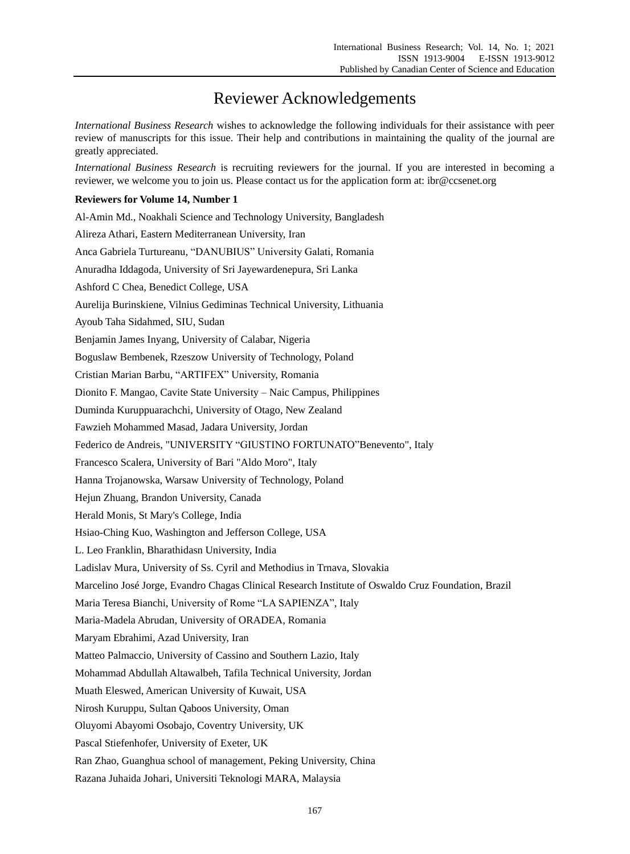## Reviewer Acknowledgements

*International Business Research* wishes to acknowledge the following individuals for their assistance with peer review of manuscripts for this issue. Their help and contributions in maintaining the quality of the journal are greatly appreciated.

*International Business Research* is recruiting reviewers for the journal. If you are interested in becoming a reviewer, we welcome you to join us. Please contact us for the application form at: ibr@ccsenet.org

## **Reviewers for Volume 14, Number 1**

Al-Amin Md., Noakhali Science and Technology University, Bangladesh Alireza Athari, Eastern Mediterranean University, Iran Anca Gabriela Turtureanu, "DANUBIUS" University Galati, Romania Anuradha Iddagoda, University of Sri Jayewardenepura, Sri Lanka Ashford C Chea, Benedict College, USA Aurelija Burinskiene, Vilnius Gediminas Technical University, Lithuania Ayoub Taha Sidahmed, SIU, Sudan Benjamin James Inyang, University of Calabar, Nigeria Boguslaw Bembenek, Rzeszow University of Technology, Poland Cristian Marian Barbu, "ARTIFEX" University, Romania Dionito F. Mangao, Cavite State University – Naic Campus, Philippines Duminda Kuruppuarachchi, University of Otago, New Zealand Fawzieh Mohammed Masad, Jadara University, Jordan Federico de Andreis, "UNIVERSITY "GIUSTINO FORTUNATO"Benevento", Italy Francesco Scalera, University of Bari "Aldo Moro", Italy Hanna Trojanowska, Warsaw University of Technology, Poland Hejun Zhuang, Brandon University, Canada Herald Monis, St Mary's College, India Hsiao-Ching Kuo, Washington and Jefferson College, USA L. Leo Franklin, Bharathidasn University, India Ladislav Mura, University of Ss. Cyril and Methodius in Trnava, Slovakia Marcelino José Jorge, Evandro Chagas Clinical Research Institute of Oswaldo Cruz Foundation, Brazil Maria Teresa Bianchi, University of Rome "LA SAPIENZA", Italy Maria-Madela Abrudan, University of ORADEA, Romania Maryam Ebrahimi, Azad University, Iran Matteo Palmaccio, University of Cassino and Southern Lazio, Italy Mohammad Abdullah Altawalbeh, Tafila Technical University, Jordan Muath Eleswed, American University of Kuwait, USA Nirosh Kuruppu, Sultan Qaboos University, Oman Oluyomi Abayomi Osobajo, Coventry University, UK Pascal Stiefenhofer, University of Exeter, UK Ran Zhao, Guanghua school of management, Peking University, China

Razana Juhaida Johari, Universiti Teknologi MARA, Malaysia